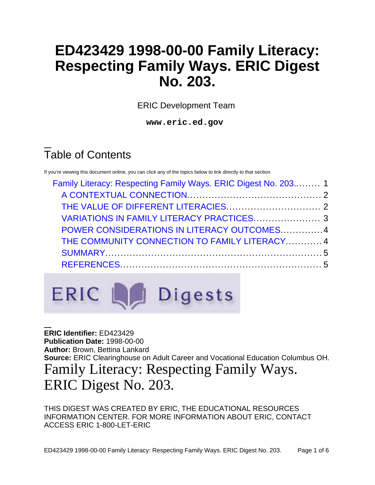# **ED423429 1998-00-00 Family Literacy: Respecting Family Ways. ERIC Digest No. 203.**

ERIC Development Team

**www.eric.ed.gov**

# Table of Contents

If you're viewing this document online, you can click any of the topics below to link directly to that section.

| Family Literacy: Respecting Family Ways. ERIC Digest No. 203 1 |  |
|----------------------------------------------------------------|--|
|                                                                |  |
|                                                                |  |
| VARIATIONS IN FAMILY LITERACY PRACTICES 3                      |  |
| POWER CONSIDERATIONS IN LITERACY OUTCOMES4                     |  |
| THE COMMUNITY CONNECTION TO FAMILY LITERACY 4                  |  |
|                                                                |  |
|                                                                |  |
|                                                                |  |



<span id="page-0-0"></span>**ERIC Identifier:** ED423429 **Publication Date:** 1998-00-00 **Author:** Brown, Bettina Lankard **Source:** ERIC Clearinghouse on Adult Career and Vocational Education Columbus OH. Family Literacy: Respecting Family Ways. ERIC Digest No. 203.

THIS DIGEST WAS CREATED BY ERIC, THE EDUCATIONAL RESOURCES INFORMATION CENTER. FOR MORE INFORMATION ABOUT ERIC, CONTACT ACCESS ERIC 1-800-LET-ERIC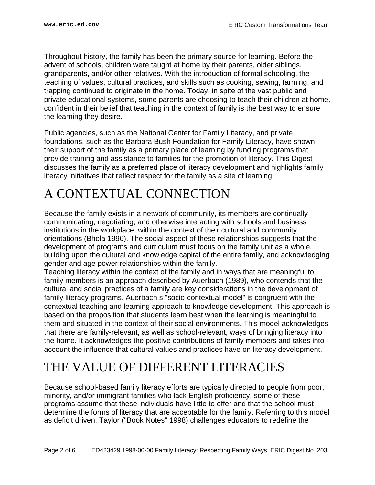Throughout history, the family has been the primary source for learning. Before the advent of schools, children were taught at home by their parents, older siblings, grandparents, and/or other relatives. With the introduction of formal schooling, the teaching of values, cultural practices, and skills such as cooking, sewing, farming, and trapping continued to originate in the home. Today, in spite of the vast public and private educational systems, some parents are choosing to teach their children at home, confident in their belief that teaching in the context of family is the best way to ensure the learning they desire.

Public agencies, such as the National Center for Family Literacy, and private foundations, such as the Barbara Bush Foundation for Family Literacy, have shown their support of the family as a primary place of learning by funding programs that provide training and assistance to families for the promotion of literacy. This Digest discusses the family as a preferred place of literacy development and highlights family literacy initiatives that reflect respect for the family as a site of learning.

## <span id="page-1-0"></span>A CONTEXTUAL CONNECTION

Because the family exists in a network of community, its members are continually communicating, negotiating, and otherwise interacting with schools and business institutions in the workplace, within the context of their cultural and community orientations (Bhola 1996). The social aspect of these relationships suggests that the development of programs and curriculum must focus on the family unit as a whole, building upon the cultural and knowledge capital of the entire family, and acknowledging gender and age power relationships within the family.

Teaching literacy within the context of the family and in ways that are meaningful to family members is an approach described by Auerbach (1989), who contends that the cultural and social practices of a family are key considerations in the development of family literacy programs. Auerbach s "socio-contextual model" is congruent with the contextual teaching and learning approach to knowledge development. This approach is based on the proposition that students learn best when the learning is meaningful to them and situated in the context of their social environments. This model acknowledges that there are family-relevant, as well as school-relevant, ways of bringing literacy into the home. It acknowledges the positive contributions of family members and takes into account the influence that cultural values and practices have on literacy development.

### <span id="page-1-1"></span>THE VALUE OF DIFFERENT LITERACIES

Because school-based family literacy efforts are typically directed to people from poor, minority, and/or immigrant families who lack English proficiency, some of these programs assume that these individuals have little to offer and that the school must determine the forms of literacy that are acceptable for the family. Referring to this model as deficit driven, Taylor ("Book Notes" 1998) challenges educators to redefine the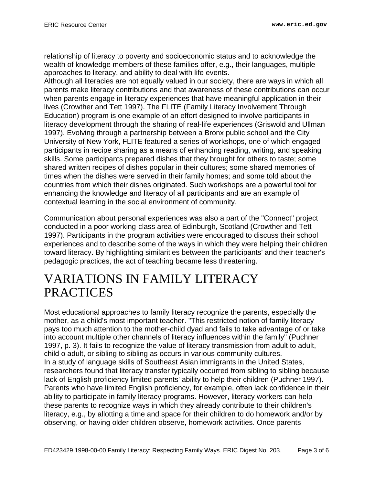relationship of literacy to poverty and socioeconomic status and to acknowledge the wealth of knowledge members of these families offer, e.g., their languages, multiple approaches to literacy, and ability to deal with life events.

Although all literacies are not equally valued in our society, there are ways in which all parents make literacy contributions and that awareness of these contributions can occur when parents engage in literacy experiences that have meaningful application in their lives (Crowther and Tett 1997). The FLITE (Family Literacy Involvement Through Education) program is one example of an effort designed to involve participants in literacy development through the sharing of real-life experiences (Griswold and Ullman 1997). Evolving through a partnership between a Bronx public school and the City University of New York, FLITE featured a series of workshops, one of which engaged participants in recipe sharing as a means of enhancing reading, writing, and speaking skills. Some participants prepared dishes that they brought for others to taste; some shared written recipes of dishes popular in their cultures; some shared memories of times when the dishes were served in their family homes; and some told about the countries from which their dishes originated. Such workshops are a powerful tool for enhancing the knowledge and literacy of all participants and are an example of contextual learning in the social environment of community.

Communication about personal experiences was also a part of the "Connect" project conducted in a poor working-class area of Edinburgh, Scotland (Crowther and Tett 1997). Participants in the program activities were encouraged to discuss their school experiences and to describe some of the ways in which they were helping their children toward literacy. By highlighting similarities between the participants' and their teacher's pedagogic practices, the act of teaching became less threatening.

#### <span id="page-2-0"></span>VARIATIONS IN FAMILY LITERACY **PRACTICES**

Most educational approaches to family literacy recognize the parents, especially the mother, as a child's most important teacher. "This restricted notion of family literacy pays too much attention to the mother-child dyad and fails to take advantage of or take into account multiple other channels of literacy influences within the family" (Puchner 1997, p. 3). It fails to recognize the value of literacy transmission from adult to adult, child o adult, or sibling to sibling as occurs in various community cultures. In a study of language skills of Southeast Asian immigrants in the United States, researchers found that literacy transfer typically occurred from sibling to sibling because lack of English proficiency limited parents' ability to help their children (Puchner 1997). Parents who have limited English proficiency, for example, often lack confidence in their ability to participate in family literacy programs. However, literacy workers can help these parents to recognize ways in which they already contribute to their children's literacy, e.g., by allotting a time and space for their children to do homework and/or by observing, or having older children observe, homework activities. Once parents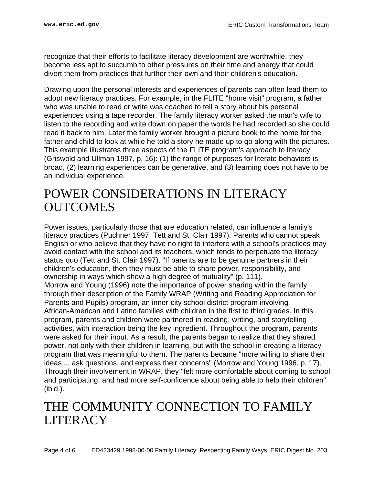recognize that their efforts to facilitate literacy development are worthwhile, they become less apt to succumb to other pressures on their time and energy that could divert them from practices that further their own and their children's education.

Drawing upon the personal interests and experiences of parents can often lead them to adopt new literacy practices. For example, in the FLITE "home visit" program, a father who was unable to read or write was coached to tell a story about his personal experiences using a tape recorder. The family literacy worker asked the man's wife to listen to the recording and write down on paper the words he had recorded so she could read it back to him. Later the family worker brought a picture book to the home for the father and child to look at while he told a story he made up to go along with the pictures. This example illustrates three aspects of the FLITE program's approach to literacy (Griswold and Ullman 1997, p. 16): (1) the range of purposes for literate behaviors is broad, (2) learning experiences can be generative, and (3) learning does not have to be an individual experience.

#### <span id="page-3-0"></span>POWER CONSIDERATIONS IN LITERACY **OUTCOMES**

Power issues, particularly those that are education related, can influence a family's literacy practices (Puchner 1997; Tett and St. Clair 1997). Parents who cannot speak English or who believe that they have no right to interfere with a school's practices may avoid contact with the school and its teachers, which tends to perpetuate the literacy status quo (Tett and St. Clair 1997). "If parents are to be genuine partners in their children's education, then they must be able to share power, responsibility, and ownership in ways which show a high degree of mutuality" (p. 111). Morrow and Young (1996) note the importance of power sharing within the family through their description of the Family WRAP (Writing and Reading Appreciation for Parents and Pupils) program, an inner-city school district program involving African-American and Latino families with children in the first to third grades. In this program, parents and children were partnered in reading, writing, and storytelling activities, with interaction being the key ingredient. Throughout the program, parents were asked for their input. As a result, the parents began to realize that they shared power, not only with their children in learning, but with the school in creating a literacy program that was meaningful to them. The parents became "more willing to share their ideas..., ask questions, and express their concerns" (Morrow and Young 1996, p. 17). Through their involvement in WRAP, they "felt more comfortable about coming to school and participating, and had more self-confidence about being able to help their children" (ibid.).

### <span id="page-3-1"></span>THE COMMUNITY CONNECTION TO FAMILY **LITERACY**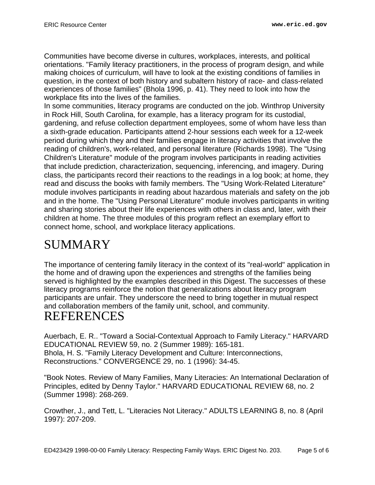Communities have become diverse in cultures, workplaces, interests, and political orientations. "Family literacy practitioners, in the process of program design, and while making choices of curriculum, will have to look at the existing conditions of families in question, in the context of both history and subaltern history of race- and class-related experiences of those families" (Bhola 1996, p. 41). They need to look into how the workplace fits into the lives of the families.

In some communities, literacy programs are conducted on the job. Winthrop University in Rock Hill, South Carolina, for example, has a literacy program for its custodial, gardening, and refuse collection department employees, some of whom have less than a sixth-grade education. Participants attend 2-hour sessions each week for a 12-week period during which they and their families engage in literacy activities that involve the reading of children's, work-related, and personal literature (Richards 1998). The "Using Children's Literature" module of the program involves participants in reading activities that include prediction, characterization, sequencing, inferencing, and imagery. During class, the participants record their reactions to the readings in a log book; at home, they read and discuss the books with family members. The "Using Work-Related Literature" module involves participants in reading about hazardous materials and safety on the job and in the home. The "Using Personal Literature" module involves participants in writing and sharing stories about their life experiences with others in class and, later, with their children at home. The three modules of this program reflect an exemplary effort to connect home, school, and workplace literacy applications.

## <span id="page-4-0"></span>SUMMARY

The importance of centering family literacy in the context of its "real-world" application in the home and of drawing upon the experiences and strengths of the families being served is highlighted by the examples described in this Digest. The successes of these literacy programs reinforce the notion that generalizations about literacy program participants are unfair. They underscore the need to bring together in mutual respect and collaboration members of the family unit, school, and community. REFERENCES

<span id="page-4-1"></span>Auerbach, E. R.. "Toward a Social-Contextual Approach to Family Literacy." HARVARD EDUCATIONAL REVIEW 59, no. 2 (Summer 1989): 165-181. Bhola, H. S. "Family Literacy Development and Culture: Interconnections, Reconstructions." CONVERGENCE 29, no. 1 (1996): 34-45.

"Book Notes. Review of Many Families, Many Literacies: An International Declaration of Principles, edited by Denny Taylor." HARVARD EDUCATIONAL REVIEW 68, no. 2 (Summer 1998): 268-269.

Crowther, J., and Tett, L. "Literacies Not Literacy." ADULTS LEARNING 8, no. 8 (April 1997): 207-209.